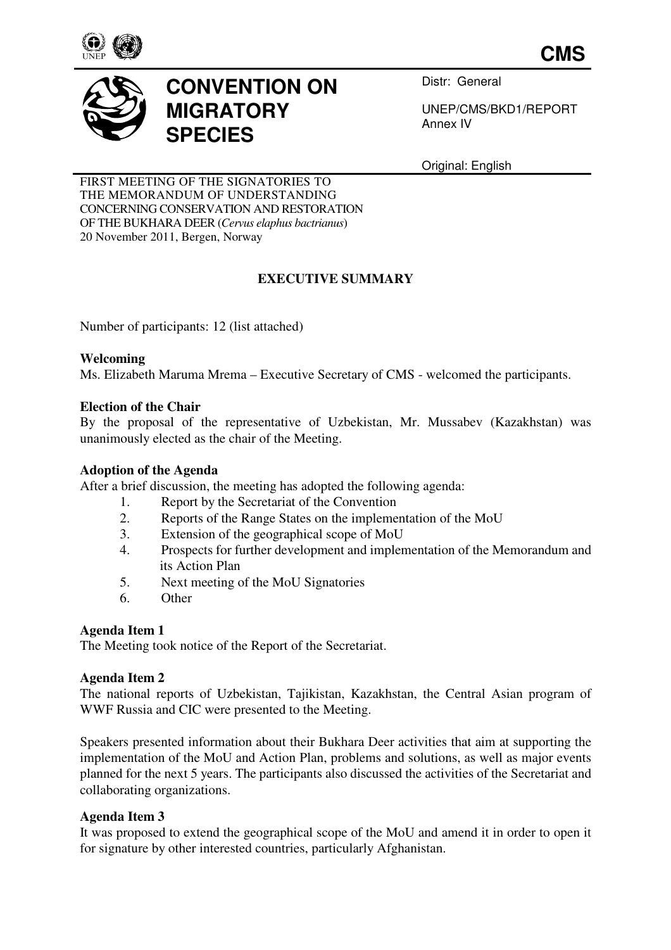

**CMS**



# **CONVENTION ON MIGRATORY SPECIES**

Distr: General

UNEP/CMS/BKD1/REPORT Annex IV

Original: English

FIRST MEETING OF THE SIGNATORIES TO THE MEMORANDUM OF UNDERSTANDING CONCERNING CONSERVATION AND RESTORATION OF THE BUKHARA DEER (*Cervus elaphus bactrianus*) 20 November 2011, Bergen, Norway

# **EXECUTIVE SUMMARY**

Number of participants: 12 (list attached)

#### **Welcoming**

Ms. Elizabeth Maruma Mrema – Executive Secretary of CMS - welcomed the participants.

#### **Election of the Chair**

By the proposal of the representative of Uzbekistan, Mr. Mussabev (Kazakhstan) was unanimously elected as the chair of the Meeting.

#### **Adoption of the Agenda**

After a brief discussion, the meeting has adopted the following agenda:

- 1. Report by the Secretariat of the Convention
- 2. Reports of the Range States on the implementation of the MoU
- 3. Extension of the geographical scope of MoU
- 4. Prospects for further development and implementation of the Memorandum and its Action Plan
- 5. Next meeting of the MoU Signatories
- 6. Other

### **Agenda Item 1**

The Meeting took notice of the Report of the Secretariat.

#### **Agenda Item 2**

The national reports of Uzbekistan, Tajikistan, Kazakhstan, the Central Asian program of WWF Russia and CIC were presented to the Meeting.

Speakers presented information about their Bukhara Deer activities that aim at supporting the implementation of the MoU and Action Plan, problems and solutions, as well as major events planned for the next 5 years. The participants also discussed the activities of the Secretariat and collaborating organizations.

#### **Agenda Item 3**

It was proposed to extend the geographical scope of the MoU and amend it in order to open it for signature by other interested countries, particularly Afghanistan.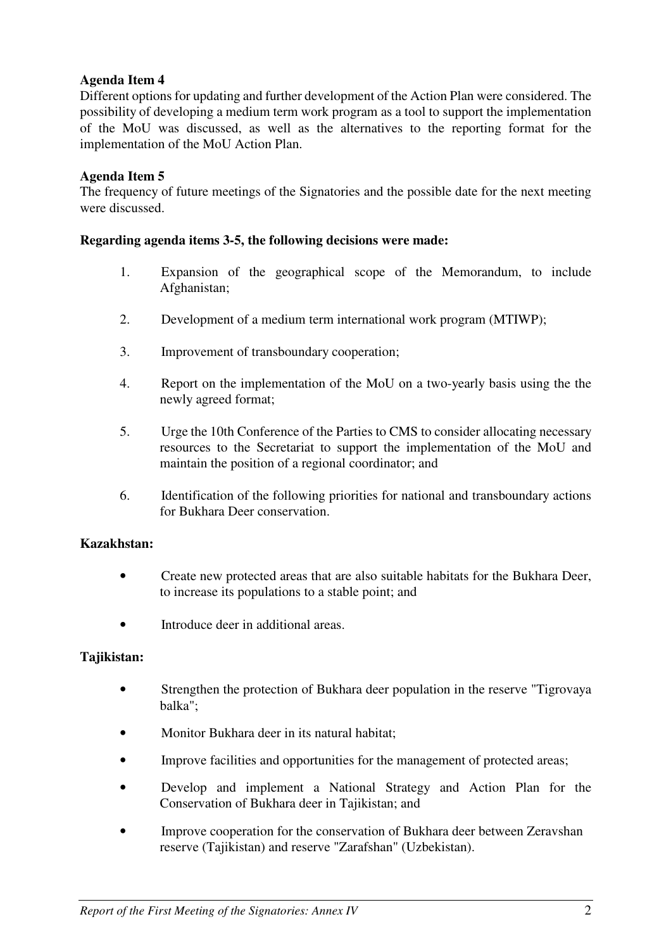# **Agenda Item 4**

Different options for updating and further development of the Action Plan were considered. The possibility of developing a medium term work program as a tool to support the implementation of the MoU was discussed, as well as the alternatives to the reporting format for the implementation of the MoU Action Plan.

# **Agenda Item 5**

The frequency of future meetings of the Signatories and the possible date for the next meeting were discussed.

## **Regarding agenda items 3-5, the following decisions were made:**

- 1. Expansion of the geographical scope of the Memorandum, to include Afghanistan;
- 2. Development of a medium term international work program (MTIWP);
- 3. Improvement of transboundary cooperation;
- 4. Report on the implementation of the MoU on a two-yearly basis using the the newly agreed format;
- 5. Urge the 10th Conference of the Parties to CMS to consider allocating necessary resources to the Secretariat to support the implementation of the MoU and maintain the position of a regional coordinator; and
- 6. Identification of the following priorities for national and transboundary actions for Bukhara Deer conservation.

### **Kazakhstan:**

- Create new protected areas that are also suitable habitats for the Bukhara Deer, to increase its populations to a stable point; and
- Introduce deer in additional areas.

# **Tajikistan:**

- Strengthen the protection of Bukhara deer population in the reserve "Tigrovaya" balka";
- Monitor Bukhara deer in its natural habitat;
- Improve facilities and opportunities for the management of protected areas;
- Develop and implement a National Strategy and Action Plan for the Conservation of Bukhara deer in Tajikistan; and
- Improve cooperation for the conservation of Bukhara deer between Zeravshan reserve (Tajikistan) and reserve "Zarafshan" (Uzbekistan).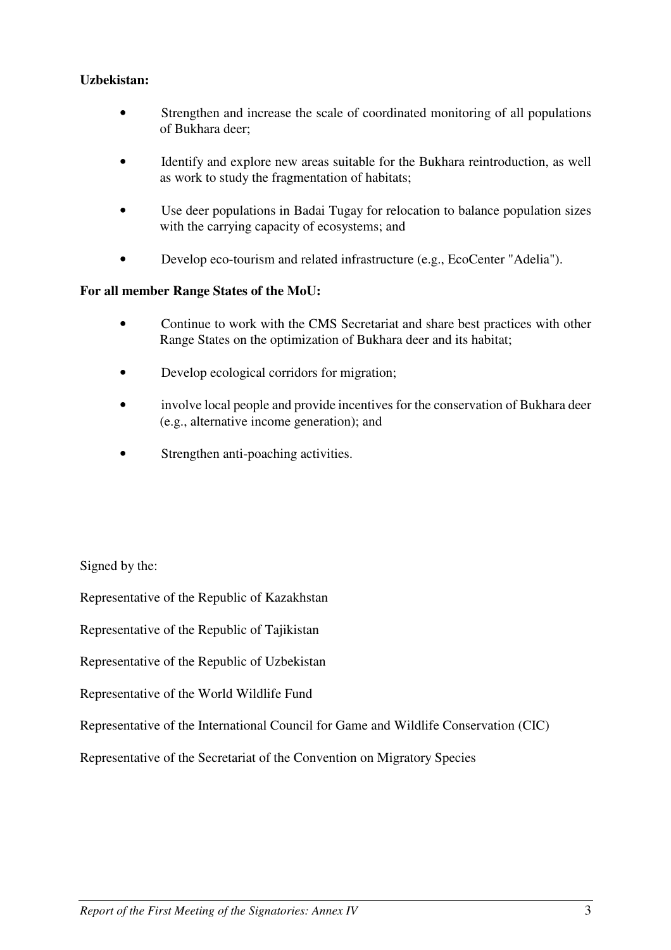## **Uzbekistan:**

- Strengthen and increase the scale of coordinated monitoring of all populations of Bukhara deer;
- Identify and explore new areas suitable for the Bukhara reintroduction, as well as work to study the fragmentation of habitats;
- Use deer populations in Badai Tugay for relocation to balance population sizes with the carrying capacity of ecosystems; and
- Develop eco-tourism and related infrastructure (e.g., EcoCenter "Adelia").

#### **For all member Range States of the MoU:**

- Continue to work with the CMS Secretariat and share best practices with other Range States on the optimization of Bukhara deer and its habitat;
- Develop ecological corridors for migration;
- involve local people and provide incentives for the conservation of Bukhara deer (e.g., alternative income generation); and
- Strengthen anti-poaching activities.

Signed by the:

Representative of the Republic of Kazakhstan

Representative of the Republic of Tajikistan

Representative of the Republic of Uzbekistan

Representative of the World Wildlife Fund

Representative of the International Council for Game and Wildlife Conservation (CIC)

Representative of the Secretariat of the Convention on Migratory Species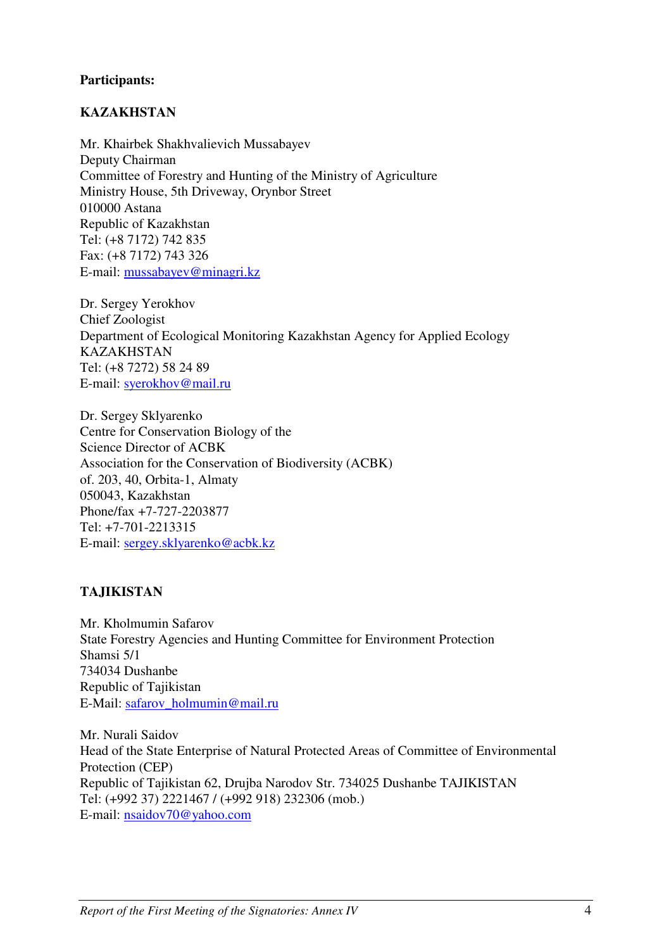## **Participants:**

## **KAZAKHSTAN**

Mr. Khairbek Shakhvalievich Mussabayev Deputy Chairman Committee of Forestry and Hunting of the Ministry of Agriculture Ministry House, 5th Driveway, Orynbor Street 010000 Astana Republic of Kazakhstan Tel: (+8 7172) 742 835 Fax: (+8 7172) 743 326 E-mail: mussabayev@minagri.kz

Dr. Sergey Yerokhov Chief Zoologist Department of Ecological Monitoring Kazakhstan Agency for Applied Ecology KAZAKHSTAN Tel: (+8 7272) 58 24 89 E-mail: syerokhov@mail.ru

Dr. Sergey Sklyarenko Centre for Conservation Biology of the Science Director of ACBK Association for the Conservation of Biodiversity (ACBK) of. 203, 40, Orbita-1, Almaty 050043, Kazakhstan Phone/fax +7-727-2203877 Tel: +7-701-2213315 E-mail: sergey.sklyarenko@acbk.kz

# **TAJIKISTAN**

Mr. Kholmumin Safarov State Forestry Agencies and Hunting Committee for Environment Protection Shamsi 5/1 734034 Dushanbe Republic of Tajikistan E-Mail: safarov\_holmumin@mail.ru

Mr. Nurali Saidov Head of the State Enterprise of Natural Protected Areas of Committee of Environmental Protection (CEP) Republic of Tajikistan 62, Drujba Narodov Str. 734025 Dushanbe TAJIKISTAN Tel: (+992 37) 2221467 / (+992 918) 232306 (mob.) E-mail: nsaidov70@yahoo.com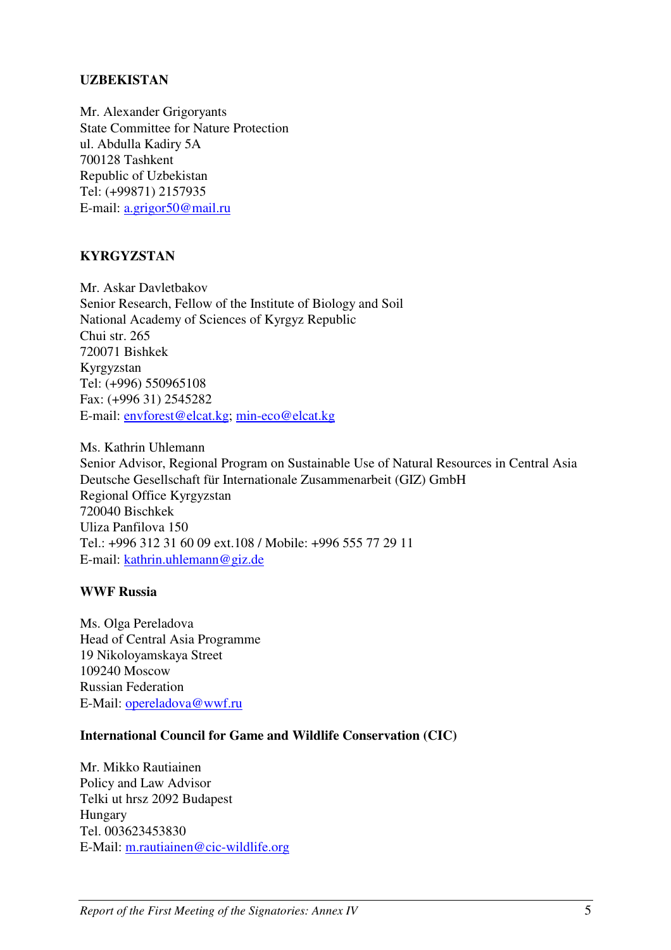## **UZBEKISTAN**

Mr. Alexander Grigoryants State Committee for Nature Protection ul. Abdulla Kadiry 5A 700128 Tashkent Republic of Uzbekistan Tel: (+99871) 2157935 E-mail: a.grigor50@mail.ru

# **KYRGYZSTAN**

Mr. Askar Davletbakov Senior Research, Fellow of the Institute of Biology and Soil National Academy of Sciences of Kyrgyz Republic Chui str. 265 720071 Bishkek Kyrgyzstan Tel: (+996) 550965108 Fax: (+996 31) 2545282 E-mail: envforest@elcat.kg; min-eco@elcat.kg

Ms. Kathrin Uhlemann Senior Advisor, Regional Program on Sustainable Use of Natural Resources in Central Asia Deutsche Gesellschaft für Internationale Zusammenarbeit (GIZ) GmbH Regional Office Kyrgyzstan 720040 Bischkek Uliza Panfilova 150 Tel.: +996 312 31 60 09 ext.108 / Mobile: +996 555 77 29 11 E-mail: kathrin.uhlemann@giz.de

#### **WWF Russia**

Ms. Olga Pereladova Head of Central Asia Programme 19 Nikoloyamskaya Street 109240 Moscow Russian Federation E-Mail: opereladova@wwf.ru

### **International Council for Game and Wildlife Conservation (CIC)**

Mr. Mikko Rautiainen Policy and Law Advisor Telki ut hrsz 2092 Budapest Hungary Tel. 003623453830 E-Mail: m.rautiainen@cic-wildlife.org